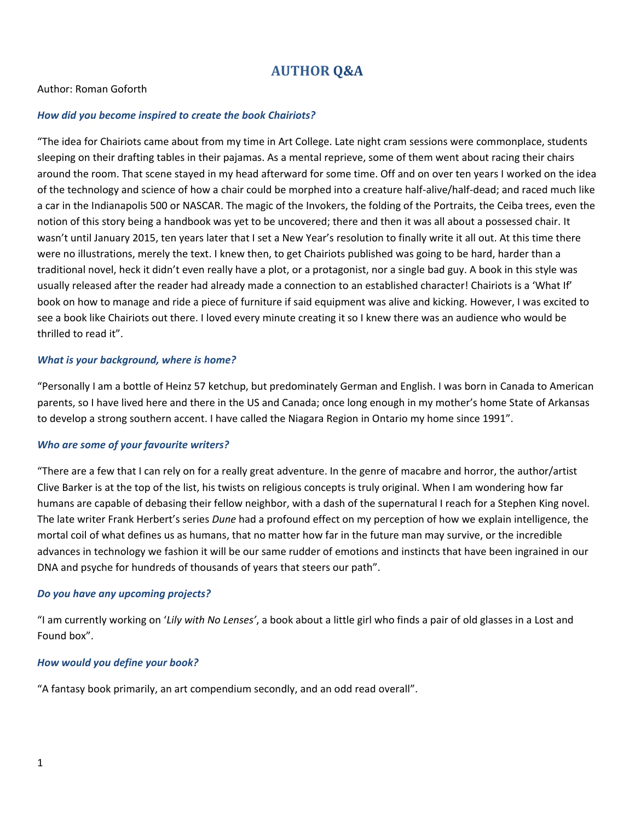# **AUTHOR Q&A**

# Author: Roman Goforth

## *How did you become inspired to create the book Chairiots?*

"The idea for Chairiots came about from my time in Art College. Late night cram sessions were commonplace, students sleeping on their drafting tables in their pajamas. As a mental reprieve, some of them went about racing their chairs around the room. That scene stayed in my head afterward for some time. Off and on over ten years I worked on the idea of the technology and science of how a chair could be morphed into a creature half-alive/half-dead; and raced much like a car in the Indianapolis 500 or NASCAR. The magic of the Invokers, the folding of the Portraits, the Ceiba trees, even the notion of this story being a handbook was yet to be uncovered; there and then it was all about a possessed chair. It wasn't until January 2015, ten years later that I set a New Year's resolution to finally write it all out. At this time there were no illustrations, merely the text. I knew then, to get Chairiots published was going to be hard, harder than a traditional novel, heck it didn't even really have a plot, or a protagonist, nor a single bad guy. A book in this style was usually released after the reader had already made a connection to an established character! Chairiots is a 'What If' book on how to manage and ride a piece of furniture if said equipment was alive and kicking. However, I was excited to see a book like Chairiots out there. I loved every minute creating it so I knew there was an audience who would be thrilled to read it".

#### *What is your background, where is home?*

"Personally I am a bottle of Heinz 57 ketchup, but predominately German and English. I was born in Canada to American parents, so I have lived here and there in the US and Canada; once long enough in my mother's home State of Arkansas to develop a strong southern accent. I have called the Niagara Region in Ontario my home since 1991".

# *Who are some of your favourite writers?*

"There are a few that I can rely on for a really great adventure. In the genre of macabre and horror, the author/artist Clive Barker is at the top of the list, his twists on religious concepts is truly original. When I am wondering how far humans are capable of debasing their fellow neighbor, with a dash of the supernatural I reach for a Stephen King novel. The late writer Frank Herbert's series *Dune* had a profound effect on my perception of how we explain intelligence, the mortal coil of what defines us as humans, that no matter how far in the future man may survive, or the incredible advances in technology we fashion it will be our same rudder of emotions and instincts that have been ingrained in our DNA and psyche for hundreds of thousands of years that steers our path".

#### *Do you have any upcoming projects?*

"I am currently working on '*Lily with No Lenses'*, a book about a little girl who finds a pair of old glasses in a Lost and Found box".

#### *How would you define your book?*

"A fantasy book primarily, an art compendium secondly, and an odd read overall".